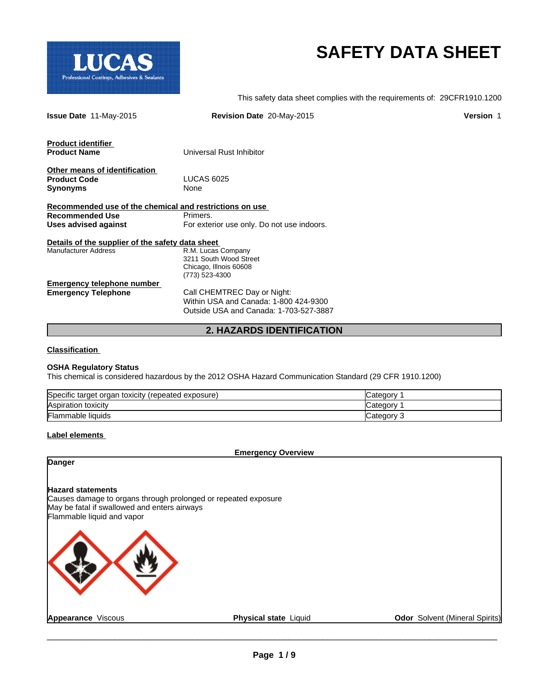

# **SAFETY DATA SHEET**

This safety data sheet complies with the requirements of: 29CFR1910.1200

| <b>Issue Date 11-May-2015</b>                           | Revision Date 20-May-2015                  | <b>Version 1</b> |
|---------------------------------------------------------|--------------------------------------------|------------------|
| <b>Product identifier</b>                               |                                            |                  |
| <b>Product Name</b>                                     | Universal Rust Inhibitor                   |                  |
| Other means of identification                           |                                            |                  |
| <b>Product Code</b>                                     | <b>LUCAS 6025</b>                          |                  |
| <b>Synonyms</b>                                         | None                                       |                  |
| Recommended use of the chemical and restrictions on use |                                            |                  |
| <b>Recommended Use</b>                                  | Primers.                                   |                  |
| <b>Uses advised against</b>                             | For exterior use only. Do not use indoors. |                  |
| Details of the supplier of the safety data sheet        |                                            |                  |
| <b>Manufacturer Address</b>                             | R.M. Lucas Company                         |                  |
|                                                         | 3211 South Wood Street                     |                  |
|                                                         | Chicago, Illnois 60608                     |                  |
|                                                         | (773) 523-4300                             |                  |
| <b>Emergency telephone number</b>                       |                                            |                  |
| <b>Emergency Telephone</b>                              | Call CHEMTREC Day or Night:                |                  |
|                                                         | Within USA and Canada: 1-800 424-9300      |                  |
|                                                         | Outside USA and Canada: 1-703-527-3887     |                  |
|                                                         | <b>2. HAZARDS IDENTIFICATION</b>           |                  |

# **Classification**

#### **OSHA Regulatory Status**

This chemical is considered hazardous by the 2012 OSHA Hazard Communication Standard (29 CFR 1910.1200)

| Specific target organ toxicity<br>(repeated exposure) | 2 ategory. |
|-------------------------------------------------------|------------|
| Aspiration toxicity                                   | ′ ategory∟ |
| <b>Flammable liquids</b>                              | Category 3 |

#### **Label elements**

**Emergency Overview**

# **Danger**

# **Hazard statements**

Causes damage to organs through prolonged or repeated exposure May be fatal if swallowed and enters airways Flammable liquid and vapor



**Appearance** Viscous **Physical state** Liquid **Odor** Solvent (Mineral Spirits)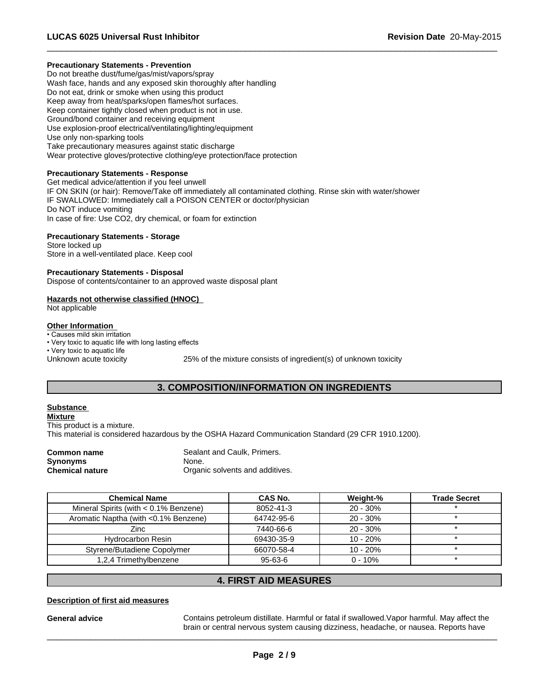# **Precautionary Statements - Prevention**

Do not breathe dust/fume/gas/mist/vapors/spray Wash face, hands and any exposed skin thoroughly after handling Do not eat, drink or smoke when using this product Keep away from heat/sparks/open flames/hot surfaces. Keep container tightly closed when product is not in use. Ground/bond container and receiving equipment Use explosion-proof electrical/ventilating/lighting/equipment Use only non-sparking tools Take precautionary measures against static discharge Wear protective gloves/protective clothing/eye protection/face protection

# **Precautionary Statements - Response**

Get medical advice/attention if you feel unwell IF ON SKIN (or hair): Remove/Take off immediately all contaminated clothing. Rinse skin with water/shower IF SWALLOWED: Immediately call a POISON CENTER or doctor/physician Do NOT induce vomiting In case of fire: Use CO2, dry chemical, or foam for extinction

# **Precautionary Statements - Storage**

Store locked up Store in a well-ventilated place. Keep cool

# **Precautionary Statements - Disposal**

Dispose of contents/container to an approved waste disposal plant

# **Hazards not otherwise classified (HNOC)**

Not applicable

# **Other Information**

• Causes mild skin irritation

• Very toxic to aquatic life with long lasting effects

• Very toxic to aquatic life

Unknown acute toxicity 25% of the mixture consists of ingredient(s) of unknown toxicity

 $\overline{\phantom{a}}$  ,  $\overline{\phantom{a}}$  ,  $\overline{\phantom{a}}$  ,  $\overline{\phantom{a}}$  ,  $\overline{\phantom{a}}$  ,  $\overline{\phantom{a}}$  ,  $\overline{\phantom{a}}$  ,  $\overline{\phantom{a}}$  ,  $\overline{\phantom{a}}$  ,  $\overline{\phantom{a}}$  ,  $\overline{\phantom{a}}$  ,  $\overline{\phantom{a}}$  ,  $\overline{\phantom{a}}$  ,  $\overline{\phantom{a}}$  ,  $\overline{\phantom{a}}$  ,  $\overline{\phantom{a}}$ 

# **3. COMPOSITION/INFORMATION ON INGREDIENTS**

# **Substance**

**Mixture** This product is a mixture. This material is considered hazardous by the OSHA Hazard Communication Standard (29 CFR 1910.1200).

**Synonyms** None.<br> **Chemical nature** Chemical nature **None.** 

**Common name** Sealant and Caulk, Primers. **Organic solvents and additives.** 

| <b>Chemical Name</b>                     | CAS No.       | Weight-%   | <b>Trade Secret</b> |
|------------------------------------------|---------------|------------|---------------------|
| Mineral Spirits (with $< 0.1\%$ Benzene) | 8052-41-3     | $20 - 30%$ |                     |
| Aromatic Naptha (with <0.1% Benzene)     | 64742-95-6    | $20 - 30%$ |                     |
| Zinc                                     | 7440-66-6     | $20 - 30%$ |                     |
| <b>Hydrocarbon Resin</b>                 | 69430-35-9    | $10 - 20%$ |                     |
| Styrene/Butadiene Copolymer              | 66070-58-4    | $10 - 20%$ |                     |
| 1,2,4 Trimethylbenzene                   | $95 - 63 - 6$ | $0 - 10%$  |                     |

# **4. FIRST AID MEASURES**

# **Description of first aid measures**

**General advice** Contains petroleum distillate. Harmful or fatal if swallowed.Vapor harmful. May affect the brain or central nervous system causing dizziness, headache, or nausea. Reports have

 $\_$  ,  $\_$  ,  $\_$  ,  $\_$  ,  $\_$  ,  $\_$  ,  $\_$  ,  $\_$  ,  $\_$  ,  $\_$  ,  $\_$  ,  $\_$  ,  $\_$  ,  $\_$  ,  $\_$  ,  $\_$  ,  $\_$  ,  $\_$  ,  $\_$  ,  $\_$  ,  $\_$  ,  $\_$  ,  $\_$  ,  $\_$  ,  $\_$  ,  $\_$  ,  $\_$  ,  $\_$  ,  $\_$  ,  $\_$  ,  $\_$  ,  $\_$  ,  $\_$  ,  $\_$  ,  $\_$  ,  $\_$  ,  $\_$  ,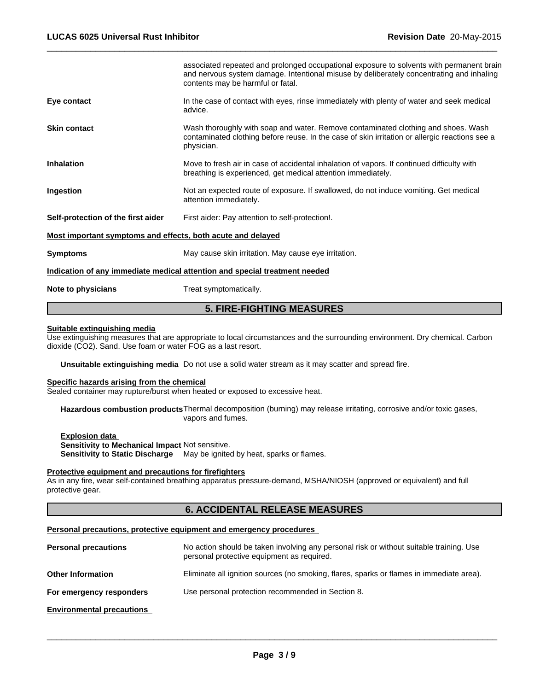|                                                             | <b>5. FIRE-FIGHTING MEASURES</b>                                                                                                                                                                                          |  |
|-------------------------------------------------------------|---------------------------------------------------------------------------------------------------------------------------------------------------------------------------------------------------------------------------|--|
| Note to physicians                                          | Treat symptomatically.                                                                                                                                                                                                    |  |
|                                                             | Indication of any immediate medical attention and special treatment needed                                                                                                                                                |  |
| <b>Symptoms</b>                                             | May cause skin irritation. May cause eye irritation.                                                                                                                                                                      |  |
| Most important symptoms and effects, both acute and delayed |                                                                                                                                                                                                                           |  |
| Self-protection of the first aider                          | First aider: Pay attention to self-protection!.                                                                                                                                                                           |  |
| Ingestion                                                   | Not an expected route of exposure. If swallowed, do not induce vomiting. Get medical<br>attention immediately.                                                                                                            |  |
| <b>Inhalation</b>                                           | Move to fresh air in case of accidental inhalation of vapors. If continued difficulty with<br>breathing is experienced, get medical attention immediately.                                                                |  |
| <b>Skin contact</b>                                         | Wash thoroughly with soap and water. Remove contaminated clothing and shoes. Wash<br>contaminated clothing before reuse. In the case of skin irritation or allergic reactions see a<br>physician.                         |  |
| Eye contact                                                 | In the case of contact with eyes, rinse immediately with plenty of water and seek medical<br>advice.                                                                                                                      |  |
|                                                             | associated repeated and prolonged occupational exposure to solvents with permanent brain<br>and nervous system damage. Intentional misuse by deliberately concentrating and inhaling<br>contents may be harmful or fatal. |  |
|                                                             |                                                                                                                                                                                                                           |  |

 $\overline{\phantom{a}}$  ,  $\overline{\phantom{a}}$  ,  $\overline{\phantom{a}}$  ,  $\overline{\phantom{a}}$  ,  $\overline{\phantom{a}}$  ,  $\overline{\phantom{a}}$  ,  $\overline{\phantom{a}}$  ,  $\overline{\phantom{a}}$  ,  $\overline{\phantom{a}}$  ,  $\overline{\phantom{a}}$  ,  $\overline{\phantom{a}}$  ,  $\overline{\phantom{a}}$  ,  $\overline{\phantom{a}}$  ,  $\overline{\phantom{a}}$  ,  $\overline{\phantom{a}}$  ,  $\overline{\phantom{a}}$ 

# **Suitable extinguishing media**

Use extinguishing measures that are appropriate to local circumstances and the surrounding environment. Dry chemical. Carbon dioxide (CO2). Sand. Use foam or water FOG as a last resort.

**Unsuitable extinguishing media** Do not use a solid water stream as it may scatter and spread fire.

# **Specific hazards arising from the chemical**

Sealed container may rupture/burst when heated or exposed to excessive heat.

**Hazardous combustion products**Thermal decomposition (burning) may release irritating, corrosive and/or toxic gases, vapors and fumes.

**Explosion data Sensitivity to Mechanical Impact** Not sensitive. **Sensitivity to Static Discharge** May be ignited by heat, sparks or flames.

# **Protective equipment and precautions for firefighters**

As in any fire, wear self-contained breathing apparatus pressure-demand, MSHA/NIOSH (approved or equivalent) and full protective gear.

# **6. ACCIDENTAL RELEASE MEASURES**

#### **Personal precautions, protective equipment and emergency procedures**

| <b>Personal precautions</b>      | No action should be taken involving any personal risk or without suitable training. Use<br>personal protective equipment as required. |
|----------------------------------|---------------------------------------------------------------------------------------------------------------------------------------|
| <b>Other Information</b>         | Eliminate all ignition sources (no smoking, flares, sparks or flames in immediate area).                                              |
| For emergency responders         | Use personal protection recommended in Section 8.                                                                                     |
| <b>Environmental precautions</b> |                                                                                                                                       |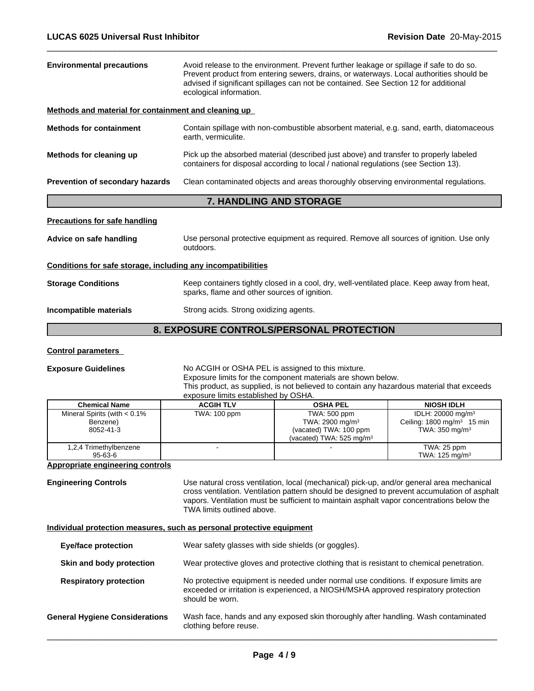| <b>Environmental precautions</b>                             | Avoid release to the environment. Prevent further leakage or spillage if safe to do so.<br>Prevent product from entering sewers, drains, or waterways. Local authorities should be<br>advised if significant spillages can not be contained. See Section 12 for additional<br>ecological information. |  |
|--------------------------------------------------------------|-------------------------------------------------------------------------------------------------------------------------------------------------------------------------------------------------------------------------------------------------------------------------------------------------------|--|
| Methods and material for containment and cleaning up         |                                                                                                                                                                                                                                                                                                       |  |
| <b>Methods for containment</b>                               | Contain spillage with non-combustible absorbent material, e.g. sand, earth, diatomaceous<br>earth, vermiculite.                                                                                                                                                                                       |  |
| Methods for cleaning up                                      | Pick up the absorbed material (described just above) and transfer to properly labeled<br>containers for disposal according to local / national regulations (see Section 13).                                                                                                                          |  |
| Prevention of secondary hazards                              | Clean contaminated objects and areas thoroughly observing environmental regulations.                                                                                                                                                                                                                  |  |
|                                                              | 7. HANDLING AND STORAGE                                                                                                                                                                                                                                                                               |  |
| <b>Precautions for safe handling</b>                         |                                                                                                                                                                                                                                                                                                       |  |
| Advice on safe handling                                      | Use personal protective equipment as required. Remove all sources of ignition. Use only<br>outdoors.                                                                                                                                                                                                  |  |
| Conditions for safe storage, including any incompatibilities |                                                                                                                                                                                                                                                                                                       |  |
| <b>Storage Conditions</b>                                    | Keep containers tightly closed in a cool, dry, well-ventilated place. Keep away from heat,<br>sparks, flame and other sources of ignition.                                                                                                                                                            |  |
| Incompatible materials                                       | Strong acids. Strong oxidizing agents.                                                                                                                                                                                                                                                                |  |
|                                                              | 8. EXPOSURE CONTROLS/PERSONAL PROTECTION                                                                                                                                                                                                                                                              |  |

 $\overline{\phantom{a}}$  ,  $\overline{\phantom{a}}$  ,  $\overline{\phantom{a}}$  ,  $\overline{\phantom{a}}$  ,  $\overline{\phantom{a}}$  ,  $\overline{\phantom{a}}$  ,  $\overline{\phantom{a}}$  ,  $\overline{\phantom{a}}$  ,  $\overline{\phantom{a}}$  ,  $\overline{\phantom{a}}$  ,  $\overline{\phantom{a}}$  ,  $\overline{\phantom{a}}$  ,  $\overline{\phantom{a}}$  ,  $\overline{\phantom{a}}$  ,  $\overline{\phantom{a}}$  ,  $\overline{\phantom{a}}$ 

# **Control parameters**

#### **Exposure Guidelines** No ACGIH or OSHA PEL is assigned to this mixture. Exposure limits for the component materials are shown below. This product, as supplied, is not believed to contain any hazardous material that exceeds exposure limits established by OSHA.

| <b>Chemical Name</b>                                     | <b>ACGIH TLV</b> | <b>OSHA PEL</b>                                                                                              | <b>NIOSH IDLH</b>                                                                                   |
|----------------------------------------------------------|------------------|--------------------------------------------------------------------------------------------------------------|-----------------------------------------------------------------------------------------------------|
| Mineral Spirits (with $< 0.1\%$<br>Benzene)<br>8052-41-3 | TWA: 100 ppm     | TWA: 500 ppm<br>TWA: 2900 mg/m <sup>3</sup><br>(vacated) TWA: 100 ppm<br>(vacated) TWA: $525 \text{ mg/m}^3$ | IDLH: 20000 mg/m <sup>3</sup><br>Ceiling: $1800 \text{ mg/m}^3$ 15 min<br>TWA: $350 \text{ mg/m}^3$ |
| 1,2,4 Trimethylbenzene<br>95-63-6                        |                  |                                                                                                              | TWA: 25 ppm<br>TWA: $125 \text{ mg/m}^3$                                                            |

# **Appropriate engineering controls**

**Engineering Controls** Use natural cross ventilation, local (mechanical) pick-up, and/or general area mechanical cross ventilation. Ventilation pattern should be designed to prevent accumulation of asphalt vapors. Ventilation must be sufficient to maintain asphalt vapor concentrations below the TWA limits outlined above.

# **Individual protection measures, such as personal protective equipment**

| <b>Eye/face protection</b>            | Wear safety glasses with side shields (or goggles).                                                                                                                                             |
|---------------------------------------|-------------------------------------------------------------------------------------------------------------------------------------------------------------------------------------------------|
| Skin and body protection              | Wear protective gloves and protective clothing that is resistant to chemical penetration.                                                                                                       |
| <b>Respiratory protection</b>         | No protective equipment is needed under normal use conditions. If exposure limits are<br>exceeded or irritation is experienced, a NIOSH/MSHA approved respiratory protection<br>should be worn. |
| <b>General Hygiene Considerations</b> | Wash face, hands and any exposed skin thoroughly after handling. Wash contaminated<br>clothing before reuse.                                                                                    |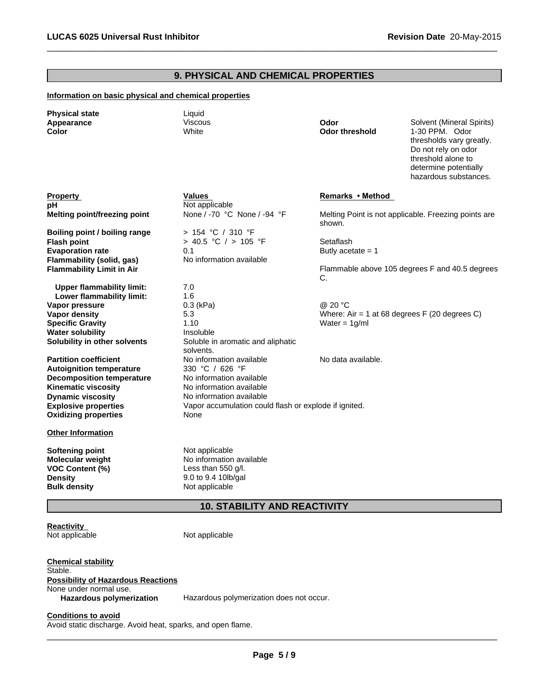# **9. PHYSICAL AND CHEMICAL PROPERTIES**

 $\overline{\phantom{a}}$  ,  $\overline{\phantom{a}}$  ,  $\overline{\phantom{a}}$  ,  $\overline{\phantom{a}}$  ,  $\overline{\phantom{a}}$  ,  $\overline{\phantom{a}}$  ,  $\overline{\phantom{a}}$  ,  $\overline{\phantom{a}}$  ,  $\overline{\phantom{a}}$  ,  $\overline{\phantom{a}}$  ,  $\overline{\phantom{a}}$  ,  $\overline{\phantom{a}}$  ,  $\overline{\phantom{a}}$  ,  $\overline{\phantom{a}}$  ,  $\overline{\phantom{a}}$  ,  $\overline{\phantom{a}}$ 

# **Information on basic physical and chemical properties**

| <b>Physical state</b><br>Appearance<br>Color                                                  | Liquid<br><b>Viscous</b><br>White                                                       | Odor<br><b>Odor threshold</b>                  | Solvent (Mineral Spirits)<br>1-30 PPM. Odor<br>thresholds vary greatly.<br>Do not rely on odor<br>threshold alone to<br>determine potentially<br>hazardous substances. |
|-----------------------------------------------------------------------------------------------|-----------------------------------------------------------------------------------------|------------------------------------------------|------------------------------------------------------------------------------------------------------------------------------------------------------------------------|
| <b>Property</b>                                                                               | Values                                                                                  | Remarks • Method                               |                                                                                                                                                                        |
| pН                                                                                            | Not applicable                                                                          |                                                |                                                                                                                                                                        |
| Melting point/freezing point                                                                  | None / -70 °C None / -94 °F                                                             | shown.                                         | Melting Point is not applicable. Freezing points are                                                                                                                   |
| Boiling point / boiling range                                                                 | $> 154$ °C / 310 °F                                                                     |                                                |                                                                                                                                                                        |
| <b>Flash point</b>                                                                            | > 40.5 °C / > 105 °F                                                                    | Setaflash                                      |                                                                                                                                                                        |
| <b>Evaporation rate</b>                                                                       | 0.1                                                                                     | Butly acetate $= 1$                            |                                                                                                                                                                        |
| Flammability (solid, gas)                                                                     | No information available                                                                |                                                |                                                                                                                                                                        |
| <b>Flammability Limit in Air</b>                                                              |                                                                                         | C.                                             | Flammable above 105 degrees F and 40.5 degrees                                                                                                                         |
| <b>Upper flammability limit:</b>                                                              | 7.0                                                                                     |                                                |                                                                                                                                                                        |
| Lower flammability limit:                                                                     | 1.6                                                                                     |                                                |                                                                                                                                                                        |
| Vapor pressure                                                                                | $0.3$ (kPa)                                                                             | @ 20 °C                                        |                                                                                                                                                                        |
| <b>Vapor density</b>                                                                          | 5.3                                                                                     | Where: Air = 1 at 68 degrees $F(20$ degrees C) |                                                                                                                                                                        |
| <b>Specific Gravity</b>                                                                       | 1.10                                                                                    | Water = $1g/ml$                                |                                                                                                                                                                        |
| <b>Water solubility</b>                                                                       | Insoluble                                                                               |                                                |                                                                                                                                                                        |
| Solubility in other solvents                                                                  | Soluble in aromatic and aliphatic<br>solvents.                                          |                                                |                                                                                                                                                                        |
| <b>Partition coefficient</b>                                                                  | No information available                                                                | No data available.                             |                                                                                                                                                                        |
| <b>Autoignition temperature</b>                                                               | 330 °C / 626 °F                                                                         |                                                |                                                                                                                                                                        |
| <b>Decomposition temperature</b>                                                              | No information available                                                                |                                                |                                                                                                                                                                        |
| <b>Kinematic viscosity</b>                                                                    | No information available                                                                |                                                |                                                                                                                                                                        |
| <b>Dynamic viscosity</b>                                                                      | No information available                                                                |                                                |                                                                                                                                                                        |
| <b>Explosive properties</b><br><b>Oxidizing properties</b>                                    | Vapor accumulation could flash or explode if ignited.<br>None                           |                                                |                                                                                                                                                                        |
| <b>Other Information</b>                                                                      |                                                                                         |                                                |                                                                                                                                                                        |
| <b>Softening point</b><br><b>Molecular weight</b><br><b>VOC Content (%)</b><br><b>Density</b> | Not applicable<br>No information available<br>Less than 550 g/l.<br>9.0 to 9.4 10lb/gal |                                                |                                                                                                                                                                        |
| <b>Bulk density</b>                                                                           | Not applicable                                                                          |                                                |                                                                                                                                                                        |

# **10. STABILITY AND REACTIVITY**

**Reactivity**<br>Not applicable

Not applicable

**Chemical stability** Stable. **Possibility of Hazardous Reactions** None under normal use. **Hazardous polymerization** Hazardous polymerization does not occur.

**Conditions to avoid**

Avoid static discharge. Avoid heat, sparks, and open flame.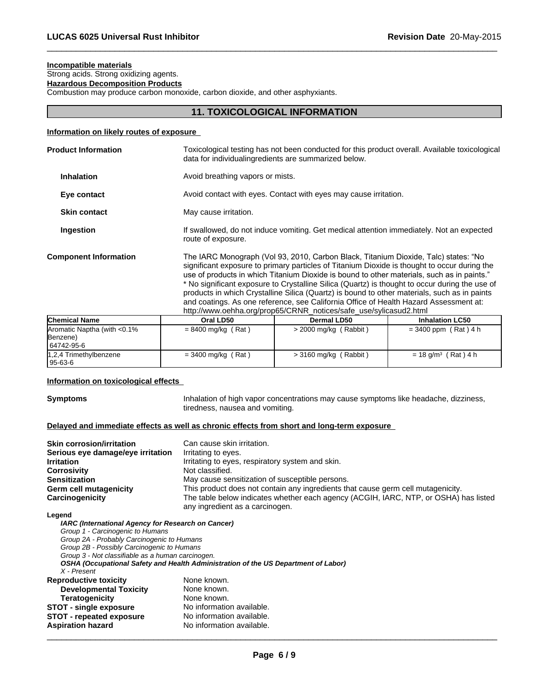# **Incompatible materials**

Strong acids. Strong oxidizing agents.

**Hazardous Decomposition Products**

Combustion may produce carbon monoxide, carbon dioxide, and other asphyxiants.

# **11. TOXICOLOGICAL INFORMATION**

 $\overline{\phantom{a}}$  ,  $\overline{\phantom{a}}$  ,  $\overline{\phantom{a}}$  ,  $\overline{\phantom{a}}$  ,  $\overline{\phantom{a}}$  ,  $\overline{\phantom{a}}$  ,  $\overline{\phantom{a}}$  ,  $\overline{\phantom{a}}$  ,  $\overline{\phantom{a}}$  ,  $\overline{\phantom{a}}$  ,  $\overline{\phantom{a}}$  ,  $\overline{\phantom{a}}$  ,  $\overline{\phantom{a}}$  ,  $\overline{\phantom{a}}$  ,  $\overline{\phantom{a}}$  ,  $\overline{\phantom{a}}$ 

# **Information on likely routes of exposure**

| <b>Product Information</b>   | Toxicological testing has not been conducted for this product overall. Available toxicological<br>data for individualing redients are summarized below.                                                                                                                                                                                                                                                                                                                                                                                                                                                                                           |
|------------------------------|---------------------------------------------------------------------------------------------------------------------------------------------------------------------------------------------------------------------------------------------------------------------------------------------------------------------------------------------------------------------------------------------------------------------------------------------------------------------------------------------------------------------------------------------------------------------------------------------------------------------------------------------------|
| <b>Inhalation</b>            | Avoid breathing vapors or mists.                                                                                                                                                                                                                                                                                                                                                                                                                                                                                                                                                                                                                  |
| Eye contact                  | Avoid contact with eyes. Contact with eyes may cause irritation.                                                                                                                                                                                                                                                                                                                                                                                                                                                                                                                                                                                  |
| <b>Skin contact</b>          | May cause irritation.                                                                                                                                                                                                                                                                                                                                                                                                                                                                                                                                                                                                                             |
| Ingestion                    | If swallowed, do not induce vomiting. Get medical attention immediately. Not an expected<br>route of exposure.                                                                                                                                                                                                                                                                                                                                                                                                                                                                                                                                    |
| <b>Component Information</b> | The IARC Monograph (Vol 93, 2010, Carbon Black, Titanium Dioxide, Talc) states: "No<br>significant exposure to primary particles of Titanium Dioxide is thought to occur during the<br>use of products in which Titanium Dioxide is bound to other materials, such as in paints."<br>* No significant exposure to Crystalline Silica (Quartz) is thought to occur during the use of<br>products in which Crystalline Silica (Quartz) is bound to other materials, such as in paints<br>and coatings. As one reference, see California Office of Health Hazard Assessment at:<br>http://www.oehha.org/prop65/CRNR_notices/safe_use/sylicasud2.html |
|                              |                                                                                                                                                                                                                                                                                                                                                                                                                                                                                                                                                                                                                                                   |

| <b>Chemical Name</b>         | Oral LD50            | Dermal LD50             | <b>Inhalation LC50</b>            |
|------------------------------|----------------------|-------------------------|-----------------------------------|
| Aromatic Naptha (with <0.1%) | $= 8400$ mg/kg (Rat) | $>$ 2000 mg/kg (Rabbit) | $= 3400$ ppm (Rat) 4 h            |
| Benzene)                     |                      |                         |                                   |
| 64742-95-6                   |                      |                         |                                   |
| 1,2,4 Trimethylbenzene       | $= 3400$ mg/kg (Rat) | $>$ 3160 mg/kg (Rabbit) | $= 18$ g/m <sup>3</sup> (Rat) 4 h |
| 95-63-6                      |                      |                         |                                   |

# **Information on toxicological effects**

**Symptoms Inhalation of high vapor concentrations may cause symptoms like headache, dizziness,** tiredness, nausea and vomiting.

# **Delayed and immediate effects as well as chronic effects from short and long-term exposure**

| <b>Skin corrosion/irritation</b>  | Can cause skin irritation.                                                           |
|-----------------------------------|--------------------------------------------------------------------------------------|
| Serious eye damage/eye irritation | Irritating to eyes.                                                                  |
| <b>Irritation</b>                 | Irritating to eyes, respiratory system and skin.                                     |
| <b>Corrosivity</b>                | Not classified.                                                                      |
| <b>Sensitization</b>              | May cause sensitization of susceptible persons.                                      |
| Germ cell mutagenicity            | This product does not contain any ingredients that cause germ cell mutagenicity.     |
| Carcinogenicity                   | The table below indicates whether each agency (ACGIH, IARC, NTP, or OSHA) has listed |
|                                   | any ingredient as a carcinogen.                                                      |

#### **Legend**

| IARC (International Agency for Research on Cancer) |                                                                                    |
|----------------------------------------------------|------------------------------------------------------------------------------------|
| Group 1 - Carcinogenic to Humans                   |                                                                                    |
| Group 2A - Probably Carcinogenic to Humans         |                                                                                    |
| Group 2B - Possibly Carcinogenic to Humans         |                                                                                    |
| Group 3 - Not classifiable as a human carcinogen.  |                                                                                    |
|                                                    | OSHA (Occupational Safety and Health Administration of the US Department of Labor) |
| X - Present                                        |                                                                                    |
| <b>Reproductive toxicity</b>                       | None known.                                                                        |
| <b>Developmental Toxicity</b>                      | None known.                                                                        |
| <b>Teratogenicity</b>                              | None known.                                                                        |
| <b>STOT - single exposure</b>                      | No information available.                                                          |
| STOT - repeated exposure                           | No information available.                                                          |
| <b>Aspiration hazard</b>                           | No information available.                                                          |
|                                                    |                                                                                    |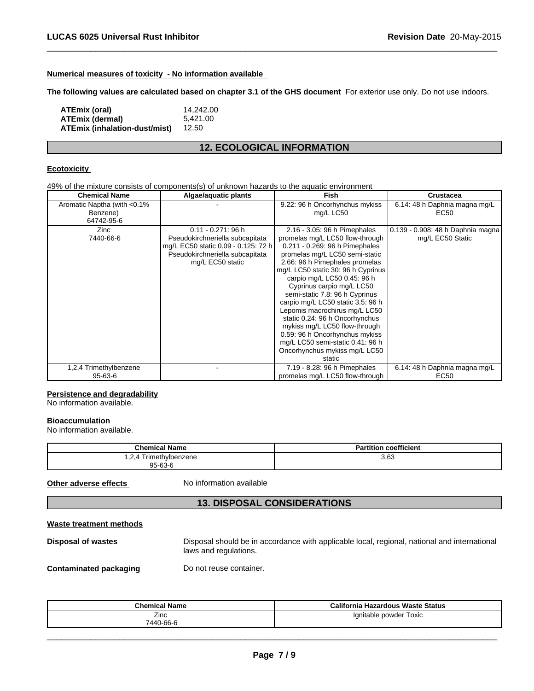# **Numerical measures of toxicity - No information available**

**The following values are calculated based on chapter 3.1 of the GHS document** For exterior use only. Do not use indoors.

 $\overline{\phantom{a}}$  ,  $\overline{\phantom{a}}$  ,  $\overline{\phantom{a}}$  ,  $\overline{\phantom{a}}$  ,  $\overline{\phantom{a}}$  ,  $\overline{\phantom{a}}$  ,  $\overline{\phantom{a}}$  ,  $\overline{\phantom{a}}$  ,  $\overline{\phantom{a}}$  ,  $\overline{\phantom{a}}$  ,  $\overline{\phantom{a}}$  ,  $\overline{\phantom{a}}$  ,  $\overline{\phantom{a}}$  ,  $\overline{\phantom{a}}$  ,  $\overline{\phantom{a}}$  ,  $\overline{\phantom{a}}$ 

| ATEmix (oral)                 | 14.242.00 |
|-------------------------------|-----------|
| ATEmix (dermal)               | 5.421.00  |
| ATEmix (inhalation-dust/mist) | 12.50     |

# **12. ECOLOGICAL INFORMATION**

# **Ecotoxicity**

49% of the mixture consists of components(s) of unknown hazards to the aquatic environment

| <b>Chemical Name</b>         | Algae/aquatic plants                | <b>Fish</b>                        | <b>Crustacea</b>                  |
|------------------------------|-------------------------------------|------------------------------------|-----------------------------------|
| Aromatic Naptha (with <0.1%) |                                     | 9.22: 96 h Oncorhynchus mykiss     | 6.14: 48 h Daphnia magna mg/L     |
| Benzene)                     |                                     | mg/L LC50                          | EC50                              |
| 64742-95-6                   |                                     |                                    |                                   |
| Zinc                         | $0.11 - 0.271$ : 96 h               | 2.16 - 3.05: 96 h Pimephales       | 0.139 - 0.908: 48 h Daphnia magna |
| 7440-66-6                    | Pseudokirchneriella subcapitata     | promelas mg/L LC50 flow-through    | mg/L EC50 Static                  |
|                              | mg/L EC50 static 0.09 - 0.125: 72 h | 0.211 - 0.269: 96 h Pimephales     |                                   |
|                              | Pseudokirchneriella subcapitata     | promelas mg/L LC50 semi-static     |                                   |
|                              | mg/L EC50 static                    | 2.66: 96 h Pimephales promelas     |                                   |
|                              |                                     | mg/L LC50 static 30: 96 h Cyprinus |                                   |
|                              |                                     | carpio mg/L LC50 0.45: 96 h        |                                   |
|                              |                                     | Cyprinus carpio mg/L LC50          |                                   |
|                              |                                     | semi-static 7.8: 96 h Cyprinus     |                                   |
|                              |                                     | carpio mg/L LC50 static 3.5: 96 h  |                                   |
|                              |                                     | Lepomis macrochirus mg/L LC50      |                                   |
|                              |                                     | static 0.24: 96 h Oncorhynchus     |                                   |
|                              |                                     | mykiss mg/L LC50 flow-through      |                                   |
|                              |                                     | 0.59: 96 h Oncorhynchus mykiss     |                                   |
|                              |                                     | mg/L LC50 semi-static 0.41: 96 h   |                                   |
|                              |                                     | Oncorhynchus mykiss mg/L LC50      |                                   |
|                              |                                     | static                             |                                   |
| 1,2,4 Trimethylbenzene       |                                     | 7.19 - 8.28: 96 h Pimephales       | 6.14: 48 h Daphnia magna mg/L     |
| $95 - 63 - 6$                |                                     | promelas mg/L LC50 flow-through    | EC50                              |

# **Persistence and degradability**

No information available.

#### **Bioaccumulation**

No information available.

| <b>Chemical Name</b>                                | <b>Partition coefficient</b> |
|-----------------------------------------------------|------------------------------|
| ⋅ Trimethylbenzene<br>. <u>.</u> .<br>$95 - 63 - 6$ | 3.63                         |

**Other adverse effects** No information available

# **13. DISPOSAL CONSIDERATIONS**

# **Waste treatment methods**

| Disposal of wastes | Disposal should be in accordance with applicable local, regional, national and international<br>laws and regulations. |
|--------------------|-----------------------------------------------------------------------------------------------------------------------|
|                    |                                                                                                                       |

**Contaminated packaging Do not reuse container.** 

| <b>Chemical Name</b> | California<br>a Hazardous Waste Status |
|----------------------|----------------------------------------|
| ∠ınc                 | Ignitable powder Toxic                 |
| 7440-66-6            |                                        |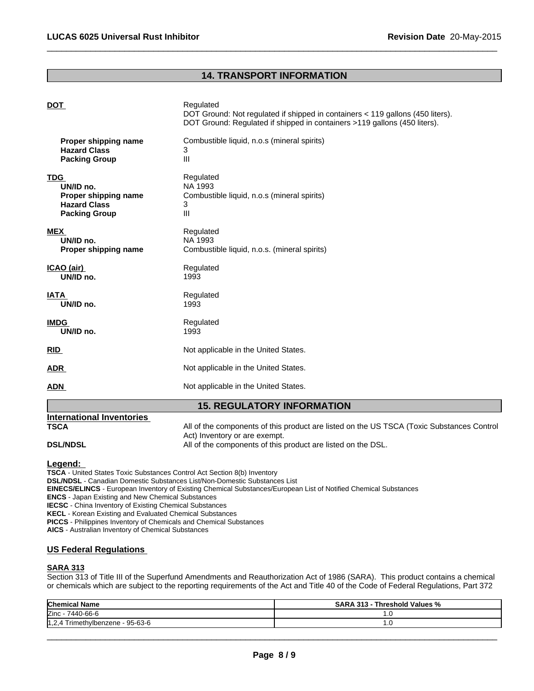# **14. TRANSPORT INFORMATION**

 $\overline{\phantom{a}}$  ,  $\overline{\phantom{a}}$  ,  $\overline{\phantom{a}}$  ,  $\overline{\phantom{a}}$  ,  $\overline{\phantom{a}}$  ,  $\overline{\phantom{a}}$  ,  $\overline{\phantom{a}}$  ,  $\overline{\phantom{a}}$  ,  $\overline{\phantom{a}}$  ,  $\overline{\phantom{a}}$  ,  $\overline{\phantom{a}}$  ,  $\overline{\phantom{a}}$  ,  $\overline{\phantom{a}}$  ,  $\overline{\phantom{a}}$  ,  $\overline{\phantom{a}}$  ,  $\overline{\phantom{a}}$ 

|                      | <b>15. REGULATORY INFORMATION</b>                                                                                                                                        |
|----------------------|--------------------------------------------------------------------------------------------------------------------------------------------------------------------------|
| ADN                  | Not applicable in the United States.                                                                                                                                     |
| <u>ADR</u>           | Not applicable in the United States.                                                                                                                                     |
| <u>RID</u>           | Not applicable in the United States.                                                                                                                                     |
| <b>IMDG</b>          | Regulated                                                                                                                                                                |
| UN/ID no.            | 1993                                                                                                                                                                     |
| <b>IATA</b>          | Regulated                                                                                                                                                                |
| UN/ID no.            | 1993                                                                                                                                                                     |
| ICAO (air)           | Regulated                                                                                                                                                                |
| UN/ID no.            | 1993                                                                                                                                                                     |
| <b>MEX</b>           | Regulated                                                                                                                                                                |
| UN/ID no.            | NA 1993                                                                                                                                                                  |
| Proper shipping name | Combustible liquid, n.o.s. (mineral spirits)                                                                                                                             |
| <b>TDG</b>           | Regulated                                                                                                                                                                |
| UN/ID no.            | NA 1993                                                                                                                                                                  |
| Proper shipping name | Combustible liquid, n.o.s (mineral spirits)                                                                                                                              |
| <b>Hazard Class</b>  | 3                                                                                                                                                                        |
| <b>Packing Group</b> | III                                                                                                                                                                      |
| Proper shipping name | Combustible liquid, n.o.s (mineral spirits)                                                                                                                              |
| <b>Hazard Class</b>  | 3                                                                                                                                                                        |
| <b>Packing Group</b> | III                                                                                                                                                                      |
| <b>DOT</b>           | Regulated<br>DOT Ground: Not regulated if shipped in containers < 119 gallons (450 liters).<br>DOT Ground: Regulated if shipped in containers >119 gallons (450 liters). |

| International Inventories |                                                                                           |
|---------------------------|-------------------------------------------------------------------------------------------|
| <b>TSCA</b>               | All of the components of this product are listed on the US TSCA (Toxic Substances Control |
|                           | Act) Inventory or are exempt.                                                             |
| <b>DSL/NDSL</b>           | All of the components of this product are listed on the DSL.                              |

# **Legend:**

**TSCA** - United States Toxic Substances Control Act Section 8(b) Inventory

**DSL/NDSL** - Canadian Domestic Substances List/Non-Domestic Substances List

**EINECS/ELINCS** - European Inventory of Existing Chemical Substances/European List of Notified Chemical Substances

**ENCS** - Japan Existing and New Chemical Substances

**IECSC** - China Inventory of Existing Chemical Substances

**KECL** - Korean Existing and Evaluated Chemical Substances

**PICCS** - Philippines Inventory of Chemicals and Chemical Substances

**AICS** - Australian Inventory of Chemical Substances

# **US Federal Regulations**

#### **SARA 313**

Section 313 of Title III of the Superfund Amendments and Reauthorization Act of 1986 (SARA). This product contains a chemical or chemicals which are subject to the reporting requirements of the Act and Title 40 of the Code of Federal Regulations, Part 372

| <b>Chemical Name</b>                              | Threshold Values %<br><b>SARA</b><br>545<br>- ئ13. |
|---------------------------------------------------|----------------------------------------------------|
| Zinc<br>7440-66-6                                 | $\cdot$ $\cdot$                                    |
| vlbenzene - 95-63-6<br>11 O<br>l rımeth<br>, ے, ا | $\cdot$                                            |